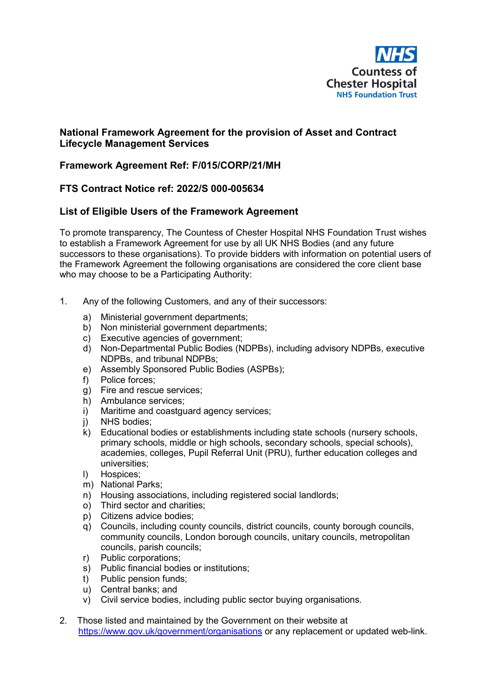

## **National Framework Agreement for the provision of Asset and Contract Lifecycle Management Services**

## **Framework Agreement Ref: F/015/CORP/21/MH**

## **FTS Contract Notice ref: 2022/S 000-005634**

## **List of Eligible Users of the Framework Agreement**

To promote transparency, The Countess of Chester Hospital NHS Foundation Trust wishes to establish a Framework Agreement for use by all UK NHS Bodies (and any future successors to these organisations). To provide bidders with information on potential users of the Framework Agreement the following organisations are considered the core client base who may choose to be a Participating Authority:

- 1. Any of the following Customers, and any of their successors:
	- a) Ministerial government departments;
	- b) Non ministerial government departments;
	- c) Executive agencies of government;
	- d) Non-Departmental Public Bodies (NDPBs), including advisory NDPBs, executive NDPBs, and tribunal NDPBs;
	- e) Assembly Sponsored Public Bodies (ASPBs);
	- f) Police forces;
	- g) Fire and rescue services;
	- h) Ambulance services;
	- i) Maritime and coastguard agency services;
	- j) NHS bodies;
	- k) Educational bodies or establishments including state schools (nursery schools, primary schools, middle or high schools, secondary schools, special schools), academies, colleges, Pupil Referral Unit (PRU), further education colleges and universities;
	- l) Hospices;
	- m) National Parks;
	- n) Housing associations, including registered social landlords;
	- o) Third sector and charities;
	- p) Citizens advice bodies;
	- q) Councils, including county councils, district councils, county borough councils, community councils, London borough councils, unitary councils, metropolitan councils, parish councils;
	- r) Public corporations;
	- s) Public financial bodies or institutions;
	- t) Public pension funds;
	- u) Central banks; and
	- v) Civil service bodies, including public sector buying organisations.
- 2. Those listed and maintained by the Government on their website at <https://www.gov.uk/government/organisations> or any replacement or updated web-link.